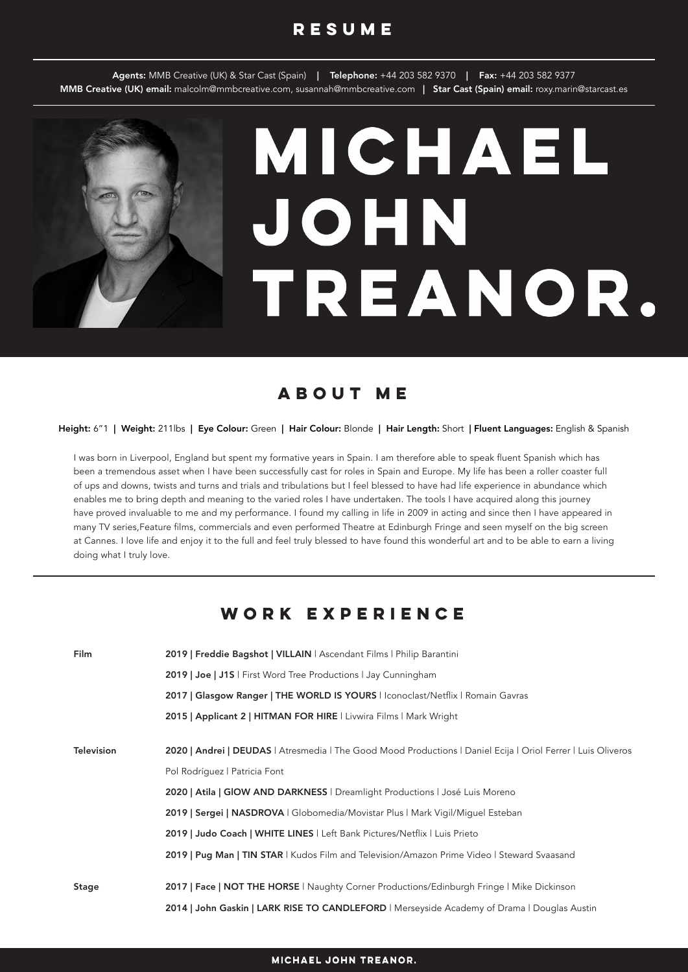### **resume**

Agents: MMB Creative (UK) & Star Cast (Spain) | Telephone: +44 203 582 9370 | Fax: +44 203 582 9377 MMB Creative (UK) email: malcolm@mmbcreative.com, susannah@mmbcreative.com | Star Cast (Spain) email: roxy.marin@starcast.es

# MICHAEL **JOHN** TREANOR.

## **about me**

#### Height: 6"1 | Weight: 211lbs | Eye Colour: Green | Hair Colour: Blonde | Hair Length: Short | Fluent Languages: English & Spanish

I was born in Liverpool, England but spent my formative years in Spain. I am therefore able to speak fluent Spanish which has been a tremendous asset when I have been successfully cast for roles in Spain and Europe. My life has been a roller coaster full of ups and downs, twists and turns and trials and tribulations but I feel blessed to have had life experience in abundance which enables me to bring depth and meaning to the varied roles I have undertaken. The tools I have acquired along this journey have proved invaluable to me and my performance. I found my calling in life in 2009 in acting and since then I have appeared in many TV series,Feature films, commercials and even performed Theatre at Edinburgh Fringe and seen myself on the big screen at Cannes. I love life and enjoy it to the full and feel truly blessed to have found this wonderful art and to be able to earn a living doing what I truly love.

### **work experience**

| Film       | 2019   Freddie Bagshot   VILLAIN   Ascendant Films   Philip Barantini                                         |
|------------|---------------------------------------------------------------------------------------------------------------|
|            | 2019   Joe   J1S   First Word Tree Productions   Jay Cunningham                                               |
|            | 2017   Glasgow Ranger   THE WORLD IS YOURS   Iconoclast/Netflix   Romain Gavras                               |
|            | 2015   Applicant 2   HITMAN FOR HIRE   Livwira Films   Mark Wright                                            |
|            |                                                                                                               |
| Television | 2020   Andrei   DEUDAS   Atresmedia   The Good Mood Productions   Daniel Ecija   Oriol Ferrer   Luis Oliveros |
|            | Pol Rodríguez   Patricia Font                                                                                 |
|            | 2020   Atila   GIOW AND DARKNESS   Dreamlight Productions   José Luis Moreno                                  |
|            | 2019   Sergei   NASDROVA   Globomedia/Movistar Plus   Mark Vigil/Miquel Esteban                               |
|            | 2019   Judo Coach   WHITE LINES   Left Bank Pictures/Netflix   Luis Prieto                                    |
|            | 2019   Pug Man   TIN STAR   Kudos Film and Television/Amazon Prime Video   Steward Svaasand                   |
|            |                                                                                                               |
| Stage      | 2017   Face   NOT THE HORSE   Naughty Corner Productions/Edinburgh Fringe   Mike Dickinson                    |
|            | 2014   John Gaskin   LARK RISE TO CANDLEFORD   Merseyside Academy of Drama   Douglas Austin                   |